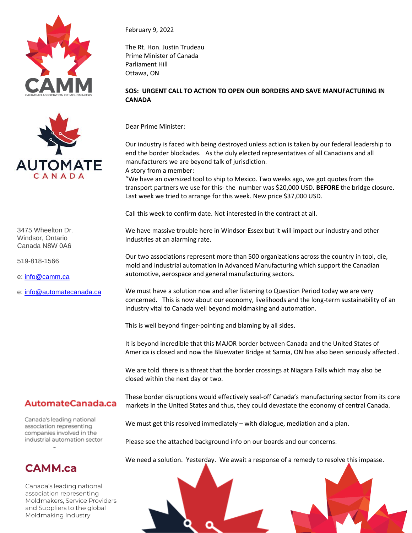



3475 Wheelton Dr. Windsor, Ontario Canada N8W 0A6

519-818-1566

e: [info@camm.ca](mailto:info@camm.ca)

e: [info@automatecanada.ca](mailto:info@automatecanada.ca)

## February 9, 2022

The Rt. Hon. Justin Trudeau Prime Minister of Canada Parliament Hill Ottawa, ON

## **SOS: URGENT CALL TO ACTION TO OPEN OUR BORDERS AND SAVE MANUFACTURING IN CANADA**

Dear Prime Minister:

Our industry is faced with being destroyed unless action is taken by our federal leadership to end the border blockades. As the duly elected representatives of all Canadians and all manufacturers we are beyond talk of jurisdiction.

A story from a member:

"We have an oversized tool to ship to Mexico. Two weeks ago, we got quotes from the transport partners we use for this- the number was \$20,000 USD. **BEFORE** the bridge closure. Last week we tried to arrange for this week. New price \$37,000 USD.

Call this week to confirm date. Not interested in the contract at all.

We have massive trouble here in Windsor-Essex but it will impact our industry and other industries at an alarming rate.

Our two associations represent more than 500 organizations across the country in tool, die, mold and industrial automation in Advanced Manufacturing which support the Canadian automotive, aerospace and general manufacturing sectors.

We must have a solution now and after listening to Question Period today we are very concerned. This is now about our economy, livelihoods and the long-term sustainability of an industry vital to Canada well beyond moldmaking and automation.

This is well beyond finger-pointing and blaming by all sides.

It is beyond incredible that this MAJOR border between Canada and the United States of America is closed and now the Bluewater Bridge at Sarnia, ON has also been seriously affected .

We are told there is a threat that the border crossings at Niagara Falls which may also be closed within the next day or two.

## AutomateCanada.ca

Canada's leading national association representing companies involved in the industrial automation sector

## **CAMM.ca**

Canada's leading national association representing Moldmakers, Service Providers and Suppliers to the global Moldmaking Industry

These border disruptions would effectively seal-off Canada's manufacturing sector from its core markets in the United States and thus, they could devastate the economy of central Canada.

We must get this resolved immediately – with dialogue, mediation and a plan.

Please see the attached background info on our boards and our concerns.

We need a solution. Yesterday. We await a response of a remedy to resolve this impasse.

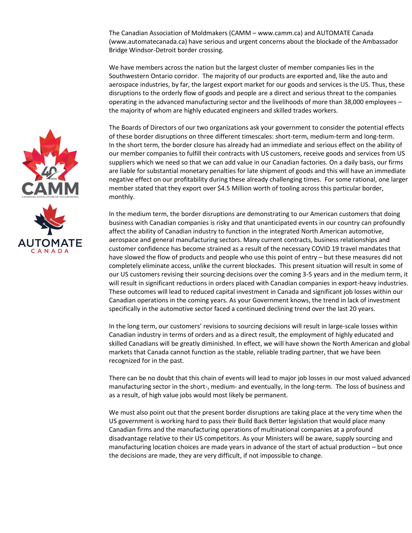The Canadian Association of Moldmakers (CAMM – www.camm.ca) and AUTOMATE Canada (www.automatecanada.ca) have serious and urgent concerns about the blockade of the Ambassador Bridge Windsor-Detroit border crossing.

We have members across the nation but the largest cluster of member companies lies in the Southwestern Ontario corridor. The majority of our products are exported and, like the auto and aerospace industries, by far, the largest export market for our goods and services is the US. Thus, these disruptions to the orderly flow of goods and people are a direct and serious threat to the companies operating in the advanced manufacturing sector and the livelihoods of more than 38,000 employees – the majority of whom are highly educated engineers and skilled trades workers.

The Boards of Directors of our two organizations ask your government to consider the potential effects of these border disruptions on three different timescales: short-term, medium-term and long-term. In the short term, the border closure has already had an immediate and serious effect on the ability of our member companies to fulfill their contracts with US customers, receive goods and services from US suppliers which we need so that we can add value in our Canadian factories. On a daily basis, our firms are liable for substantial monetary penalties for late shipment of goods and this will have an immediate negative effect on our profitability during these already challenging times. For some rational, one larger member stated that they export over \$4.5 Million worth of tooling across this particular border, monthly.

In the medium term, the border disruptions are demonstrating to our American customers that doing business with Canadian companies is risky and that unanticipated events in our country can profoundly affect the ability of Canadian industry to function in the integrated North American automotive, aerospace and general manufacturing sectors. Many current contracts, business relationships and customer confidence has become strained as a result of the necessary COVID 19 travel mandates that have slowed the flow of products and people who use this point of entry – but these measures did not completely eliminate access, unlike the current blockades. This present situation will result in some of our US customers revising their sourcing decisions over the coming 3-5 years and in the medium term, it will result in significant reductions in orders placed with Canadian companies in export-heavy industries. These outcomes will lead to reduced capital investment in Canada and significant job losses within our Canadian operations in the coming years. As your Government knows, the trend in lack of investment specifically in the automotive sector faced a continued declining trend over the last 20 years.

In the long term, our customers' revisions to sourcing decisions will result in large-scale losses within Canadian industry in terms of orders and as a direct result, the employment of highly educated and skilled Canadians will be greatly diminished. In effect, we will have shown the North American and global markets that Canada cannot function as the stable, reliable trading partner, that we have been recognized for in the past.

There can be no doubt that this chain of events will lead to major job losses in our most valued advanced manufacturing sector in the short-, medium- and eventually, in the long-term. The loss of business and as a result, of high value jobs would most likely be permanent.

We must also point out that the present border disruptions are taking place at the very time when the US government is working hard to pass their Build Back Better legislation that would place many Canadian firms and the manufacturing operations of multinational companies at a profound disadvantage relative to their US competitors. As your Ministers will be aware, supply sourcing and manufacturing location choices are made years in advance of the start of actual production – but once the decisions are made, they are very difficult, if not impossible to change.